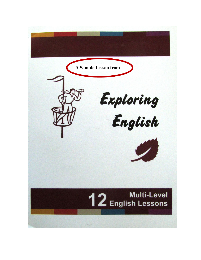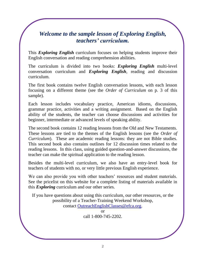# *Welcome to the sample lesson of Exploring English, teachers' curriculum.*

This *Exploring English* curriculum focuses on helping students improve their English conversation and reading comprehension abilities.

The curriculum is divided into two books: *Exploring English* multi-level conversation curriculum and *Exploring English*, reading and discussion curriculum.

The first book contains twelve English conversation lessons, with each lesson focusing on a different theme (see the *Order of Curriculum* on p. 3 of this sample).

Each lesson includes vocabulary practice, American idioms, discussions, grammar practice, activities and a writing assignment. Based on the English ability of the students, the teacher can choose discussions and activities for beginner, intermediate or advanced levels of speaking ability.

The second book contains 12 reading lessons from the Old and New Testaments. These lessons are tied to the themes of the English lessons (see the *Order of Curriculum*). These are academic reading lessons: they are not Bible studies. This second book also contains outlines for 12 discussion times related to the reading lessons. In this class, using guided question-and-answer discussions, the teacher can make the spiritual application to the reading lesson.

Besides the multi-level curriculum, we also have an entry-level book for teachers of students with no, or very little previous English experience.

We can also provide you with other teachers' resources and student materials. See the pricelist on this website for a complete listing of materials available in this *Exploring* curriculum and our other series.

If you have questions about using this curriculum, our other resources, or the possibility of a Teacher-Training Weekend Workshop, contact OutreachEnglishClasses@efca.org.

> or call 1-800-745-2202.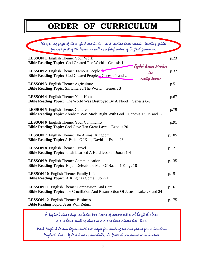# **ORDER OF CURRICULUM**

| The opening pages of the English curriculum and reading book contain teaching guides<br>for each part of the lesson as well as a brief review of English grammar. |       |
|-------------------------------------------------------------------------------------------------------------------------------------------------------------------|-------|
| <b>LESSON 1</b> English Theme: Your Work<br><b>Bible Reading Topic:</b> God Created The World Genesis 1<br>English lessons introduce                              | p.23  |
| <b>LESSON 2</b> English Theme: Famous People<br>the<br><b>Bible Reading Topic:</b> God Created People Genesis 1 and 2<br>reading lessons                          | p.37  |
| <b>LESSON 3</b> English Theme: Agriculture<br><b>Bible Reading Topic:</b> Sin Entered The World<br>Genesis 3                                                      | p.51  |
| <b>LESSON 4</b> English Theme: Your Home<br><b>Bible Reading Topic:</b> The World Was Destroyed By A Flood Genesis 6-9                                            | p.67  |
| <b>LESSON 5</b> English Theme: Cultures<br>Bible Reading Topic: Abraham Was Made Right With God Genesis 12, 15 and 17                                             | p.79  |
| <b>LESSON 6</b> English Theme: Your Community<br><b>Bible Reading Topic: God Gave Ten Great Laws</b><br>Exodus 20                                                 | p.91  |
| <b>LESSON 7</b> English Theme: The Animal Kingdom<br><b>Bible Reading Topic: A Psalm Of King David</b><br>Psalm 23                                                | p.105 |
| <b>LESSON 8</b> English Theme: Travel<br><b>Bible Reading Topic: Jonah Learned A Hard lesson</b><br>Jonah 1-4                                                     | p.121 |
| <b>LESSON 9</b> English Theme: Communication<br><b>Bible Reading Topic:</b> Elijah Defeats the Men Of Baal<br>1 Kings 18                                          | p.135 |
| <b>LESSON 10</b> English Theme: Family Life<br><b>Bible Reading Topic:</b> A King has Come<br>John 1                                                              | p.151 |
| <b>LESSON 11</b> English Theme: Compassion And Care<br>Bible Reading Topic: The Crucifixion And Resurrection Of Jesus<br>Luke 23 and 24                           | p.161 |
| <b>LESSON 12</b> English Theme: Business<br>Bible Reading Topic: Jesus Will Return                                                                                | p.175 |

A typical class-day includes two hours of conversational English class, a one-hour reading class and a one-hour discussion time.

Each English lesson begins with two pages for writing lessons plans for a two-hour English class. If less time is available, do fewer discussions or activities.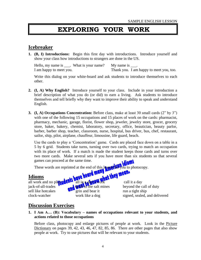# **EXPLORING YOUR WORK**

### **Icebreaker**

**1. (B, I) Introductions:** Begin this first day with introductions. Introduce yourself and show your class how introductions to strangers are done in the US.

Hello, my name is  $\frac{1}{\sqrt{1 - x^2}}$ . What is your name? My name is  $\frac{1}{\sqrt{1 - x^2}}$ . I am happy to meet you. Thank you. I am happy to meet you, too.

Write this dialog on your white-board and ask students to introduce themselves to each other.

- **2. (I, A) Why English?** Introduce yourself to your class. Include in your introduction a brief description of what you do (or did) to earn a living. Ask students to introduce themselves and tell briefly why they want to improve their ability to speak and understand English.
- **3. (I, A) Occupations Concentration:** Before class, make at least 30 small cards (2" by 3") with one of the following 15 occupations and 15 places of work on the cards: pharmacist, pharmacy, mechanic, garage, florist, flower shop, jeweler, jewelry store, grocer, grocery store, baker, bakery, chemist, laboratory, secretary, office, beautician, beauty parlor, barber, barber shop, teacher, classroom, nurse, hospital, bus driver, bus, chef, restaurant, sailor, ship, pilot, airplane, chauffeur, limousine, life guard, beach.

Use the cards to play a 'Concentration' game. Cards are placed face down on a table in a 5 by 6 grid. Students take turns, turning over two cards, trying to match an occupation with its place of work. If a match is made the student keeps those cards and turns over two more cards. Make several sets if you have more than six students so that several games can proceed at the same time.

These words are reprinted at the end of this lesson to photocopy.

### **Idioms**

all work and no play  $\sqrt{2}$ .  $\sqrt{2}$  all in a day call it a day jack-of-all-trades  $\mathbf{b}$   $\mathbf{a}$  the salt mines beyond the call of duty sell like hotcakes  $\mathbf{q}$  grin and bear it run a tight ship

clock-watcher work like a dog signed, sealed, and delivered

## **Discussion Exercises**

**1. I Am A… (B): Vocabulary – names of occupations relevant to your students, and actions related to those occupations**

Before class, photocopy and enlarge pictures of people at work. Look in the Picture Dictionary on pages 39, 42, 43, 46, 47, 82, 85, 86. There are other pages that also show people at work. Try to use pictures that will be relevant to your students.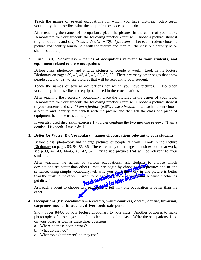Teach the names of several occupations for which you have pictures. Also teach vocabulary that describes what the people in these occupations do.

After teaching the names of occupations, place the pictures in the center of your table. Demonstrate for your students the following practice exercise. Choose a picture; show it to your students and say, *"I am a dentist (p.39). I fix teeth."* Let each student choose a picture and identify him/herself with the picture and then tell the class one activity he or she does at that job.

#### **2. I use… (B): Vocabulary – names of occupations relevant to your students, and equipment related to those occupations**

Before class, photocopy and enlarge pictures of people at work. Look in the Picture Dictionary on pages 39, 42, 43, 46, 47, 82, 85, 86. There are many other pages that show people at work. Try to use pictures that will be relevant to your student.

Teach the names of several occupations for which you have pictures. Also teach vocabulary that describes the equipment used in these occupations.

After teaching the necessary vocabulary, place the pictures in the center of your table. Demonstrate for your students the following practice exercise. Choose a picture; show it to your students and say, *"I am a janitor. (p.85). I use a broom."* Let each student choose a picture and identify him/herself with the picture and then tell the class one piece of equipment he or she uses at that job.

If you also used discussion exercise 1 you can combine the two into one review: "I am a dentist. I fix teeth. I use a drill."

#### **3. Better Or Worse (B): Vocabulary – names of occupations relevant to your students**

Before class, photocopy and enlarge pictures of people at work. Look in the Picture Dictionary on pages 83, 84, 85, 86. There are many other pages that show people at work; see p.39, 42, 43, 44-45, 46, 47, 82. Try to use pictures that will be relevant to your students.

After teaching the names of various occupations, ask students to choose which occupations are better than others. You can begin by choosing the pictures and in one sentence, using simple vocabulary, tell why you think the work in one picture is better than the work in the other: "I want to be a **teacher, not a car methanic** because mechanics get dirty."

Ask each student to choose two pictures and tell why one occupation is better than the other.

#### **4. Occupations (B): Vocabulary – secretary, waiter/waitress, doctor, dentist, librarian, carpenter, mechanic, teacher, driver, cook, salesperson**

Show pages 84-86 of your Picture Dictionary to your class. Another option is to make photocopies of these pages, one for each student before class. Write the occupations listed on your board as well as these three questions:

- a. Where do these people work?
- b. What do they do?
- c. What tools (equipment) do they use?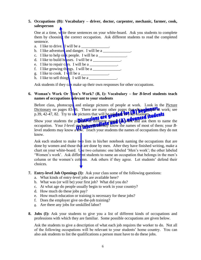#### **5. Occupations (B): Vocabulary – driver, doctor, carpenter, mechanic, farmer, cook, salesperson**

One at a time, write these sentences on your white-board. Ask you students to complete them by choosing the correct occupation. Ask different students to read the completed sentence.

- a. I like to drive. I will be a  $\Box$
- b. I like adventure and danger. I will be a
- c. I like to help sick people. I will be a
- d. I like to build houses. I will be a  $\blacksquare$
- e. I like to repair  $c \frac{d}{ds}$  I will be a
- f. I like growing things. I will be a  $\frac{1}{2}$
- g. I like to cook. I will be a
- h. I like to sell thing. I will be a  $\frac{1}{\sqrt{2}}$ .

Ask students if they can make up their own responses for other occupations.

#### **6. Woman's Work Or Men's Work? (B, I): Vocabulary – for** *B***-level students teach names of occupations relevant to your students**

Before class, photocopy and enlarge pictures of people at work. Look in the Picture Dictionary on pages  $83-\frac{1}{6}$ . There are many other pages that show purify the vork; see p.39, 42-47, 82. Try to use pictures that will be relevant to your students.

Show your students the pictures of different people  $(a)$  work and ask them to name the occupation. Your *I*-level **students will called**y know the names of most of them; your *B*level students may know a **few.** Teach your students the names of occupations they do not know.

Ask each student to make two lists in his/her notebook naming the occupations that are done by women and those that are done by men. After they have finished writing, make a chart on your white-board. Use two columns: one labeled 'Men's work'; the other labeled 'Women's work'. Ask different students to name an occupation that belongs in the men's column or the women's column. Ask others if they agree. Let students' defend their choices.

- **7. Entry-level Job Openings (I):** Ask your class some of the following questions:
	- a. What kinds of entry-level jobs are available here?
	- b. What was (or will be) your first job? What did you do?
	- c. At what age do people usually begin to work in your country?
	- d. How much do these jobs pay?
	- e. How much education or training is necessary for these jobs?
	- f. Does the employer give on-the-job training?
	- g. Are there any jobs for unskilled labor?
- **8. Jobs (I):** Ask your students to give you a list of different kinds of occupations and professions with which they are familiar. Some possible occupations are given below.

Ask the students to give a description of what each job requires the worker to do. Not all of the following occupations will be relevant to your students' home country. You can also ask students to list the qualifications a person must have to do these jobs.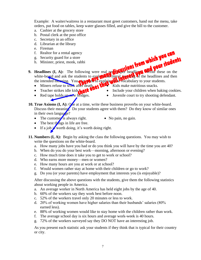Example: A waiter/waitress in a restaurant must greet customers, hand out the menu, take orders, put food on tables, keep water glasses filled, and give the bill to the customer.

- a. Cashier at the grocery store
- b. Postal clerk at the post office
- c. Secretary in an office
- d. Librarian at the library
- e. Fireman
- f. Realtor for a rental agency
- g. Security guard for a store
- h. Minister, priest, monk, rabbi
- **9. Headlines (I, A):** The following were real newspaper headling **Write** these on the white-board and ask the students to explanate literal means of the headlines and then the intended meaning. You may need to explain the vocabulary to your students.
	- Miners refuse to work after death.
	- Teacher strikes idle kids**thate**
	- Red tape holds up new bridges.
- Kids make nutritious snacks.
- Include your children when baking cookies.
- Juvenile court to try shooting defendant.
- **10. True Axioms (I, A):**  $Q_{\text{A}}$  **at a time, write these business proverbs on your white-board.** Discuss their meaning. Do your students agree with them? Do they know of similar ones in their own language?
	- The customer is always right.  $\bullet$  No pain, no gain.
		-
	- $\bullet$  The best things in life are free.
	- If a job  $\frac{1}{2}$  worth doing, it's worth doing right.
- **11. Numbers (I, A):** Begin by asking the class the following questions. You may wish to write the questions on the white-board.
	- a. How many jobs have you had or do you think you will have by the time you are 40?
	- b. When do you do your best work—morning, afternoon or evening?
	- c. How much time does it take you to get to work or school?
	- d. Who earns more money—men or women?
	- e. How many hours are you at work or at school?
	- f. Would women rather stay at home with their children or go to work?
	- g. Do you (or your parents) have employment that interests you (is enjoyable)?

 After discussing the above questions with the students, give them the following statistics about working people in America.

- a. An average worker in North America has held eight jobs by the age of 40.
- b. 60% of the workers say they work best before noon.
- c. 52% of the workers travel only 20 minutes or less to work.
- d. 20% of working women have higher salaries than their husbands' salaries (80% earned less).
- e. 88% of working women would like to stay home with the children rather than work.
- f. The average school day is six hours and average work-week is 40 hours.
- g. 72% of the workers surveyed say they DO NOT have an interesting job.

As you present each statistic ask your students if they think that is typical for their country or city.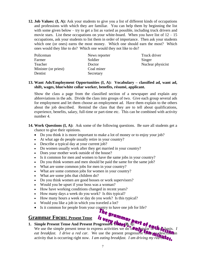**12. Job Values: (I, A):** Ask your students to give you a list of different kinds of occupations and professions with which they are familiar. You can help them by beginning the list with some given below – try to get a list as varied as possible, including truck drivers and movie stars. List these occupations on your white-board. When you have list of  $12 - 15$ occupations, ask your students to list them in order of importance. Then ask your students which one (or ones) earns the most money. Which one should earn the most? Which ones would they like to do? Which one would they not like to do?

| Policeman            | News reporter | Truck driver      |
|----------------------|---------------|-------------------|
| Farmer               | Soldier       | Singer            |
| Teacher              | Doctor        | Nuclear physicist |
| Minister (or priest) | Coal miner    |                   |
| Dentist              | Secretary     |                   |

#### **13. Want Ads/Employment Opportunities (I, A): Vocabulary – classified ad, want ad, shift, wages, blue/white collar worker, benefits, résumé, applicant.**

Show the class a page from the classified section of a newspaper and explain any abbreviations in the ads. Divide the class into groups of two. Give each group several ads for employment and let them choose an employment ad. Have them explain to the others about the job described. Remind the class that they are to tell about qualifications, experience, benefits, salary, full-time or part-time etc. This can be combined with activity number 4.

- **14. Work Questions (I, A):** Ask some of the following questions. Be sure all students get a chance to give their opinions.
	- Do you think it is more important to make a lot of money or to enjoy your job?
	- At what age do people usually retire in your country?
	- Describe a typical day at your current job?
	- Do women usually work after they get married in your country?
	- Does your mother work outside of the house?
	- Is it common for men and women to have the same jobs in your country?
	- Do you think women and men should be paid the same for the same job?
	- What are some common jobs for men in your country?
	- What are some common jobs for women in your country?
	- What are some jobs that children do?
	- Do you think women are good bosses or work supervisors?
	- Would you be upset if your boss was a woman?
	- How have working conditions changed in recent years?
	- How many days a week do you work? Is this typical?
	- How many hours a week or day do you work? Is this typical?
	- Would you like a job in which you traveled a lot?
	- Is it common for people from your country to have one job for life?

# **Grammar Focus: Present Tense**

#### **1.** Simple Present Tense And Present Progressive Tense (B, I):

The grammar Focus: Present Tense to the simple present Tense to express activities we do of a regular of Chapters . *I eat breakfast. I drive a red car.* We use the present progressive tense to describe an activity that is occurring right now. *I am eating breakfast. I am driving my red calleg*.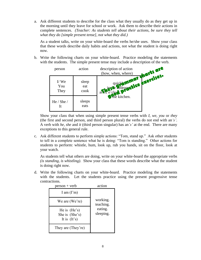a. Ask different students to describe for the class what they usually do as they get up in the morning until they leave for school or work. Ask them to describe their actions in complete sentences. *(Teacher: As students tell about their actions, be sure they tell what they do [simple present tense], not what they did.)*

As a student talks, write on your white-board the verbs he/she uses. Show your class that these words describe daily habits and actions, not what the student is doing right now.

b. Write the following charts on your white-board. Practice modeling the statements with the students. The simple present tense may include a description of the verb.



Show your class that when using simple present tense verbs with *I, we, you* or *they* (the first and second person, and third person plural) the verbs do not end with an*'s'*. A verb with *he, she* and *it* (third person singular) has an*'s'* at the end. There are many exceptions to this general rule.

c. Ask different students to perform simple actions: "Tom, stand up." Ask other students to tell in a complete sentence what he is doing: "Tom is standing." Other actions for students to perform: whistle, hum, look up, rub you hands, sit on the floor, look at your watch.

As students tell what others are doing, write on your white-board the appropriate verbs *(is standing, is whistling)*. Show your class that these words describe what the student is doing right now.

d. Write the following charts on your white-board. Practice modeling the statements with the students. Let the students practice using the present progressive tense contractions.

| $person + verb$                                    | action                |
|----------------------------------------------------|-----------------------|
| I am $(\Gamma m)$                                  |                       |
| We are (We're)                                     | working.<br>teaching. |
| He is $(He's)$<br>She is (She's)<br>It is $(It's)$ | eating.<br>sleeping.  |
| They are (They're)                                 |                       |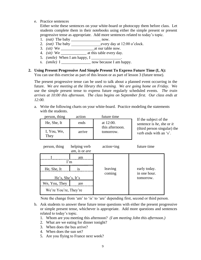e. Practice sentences

Either write these sentences on your white-board or photocopy them before class. Let students complete them in their notebooks using either the simple present or present progressive tense as appropriate. Add more sentences related to today's topic.

- 1. *(eat)* The baby \_\_\_\_\_\_\_\_\_\_\_\_\_\_\_ now.
- 2. *(eat)* The baby \_\_\_\_\_\_\_\_\_\_\_\_\_\_\_every day at 12:00 o'clock.
- $3.$  *(sit)* We  $\frac{1}{\sqrt{3}}$  at our table now.
- 4. *(sit)* We at this table every day.
- 5. *(smile)* When I am happy, I
- 6. *(smile)* I how because I am happy.

#### **2. Using Present Progressive And Simple Present To Express Future Time (I, A):**

You can use this exercise as part of this lesson or as part of lesson 3 (future tense).

The present progressive tense can be used to talk about a planned event occurring in the future. *We are meeting at the library this evening. We are going home on Friday.* We use the simple present tense to express future regularly scheduled events. *The train arrives at 10:00 this afternoon. The class begins on September first. Our class ends at 12:00.*

a. Write the following charts on your white-board. Practice modeling the statements with the students.

| person, thing         | action                        | future time                               |                                                       |
|-----------------------|-------------------------------|-------------------------------------------|-------------------------------------------------------|
| He, She, It           | ends                          | at 12:00.<br>this afternoon.<br>tomorrow. | If the subject of the<br>sentence is he, she or it    |
| I, You, We,<br>They   | arrive                        |                                           | (third person singular) the<br>verb ends with an 's'. |
| person, thing         | helping verb<br>am, is or are | $action+ing$                              | future time                                           |
| $\Gamma$ m            | am                            |                                           |                                                       |
| He, She, It           | 1S                            | leaving                                   | early today.                                          |
| He's, She's, It's     |                               | coming                                    | in one hour.<br>tomorrow.                             |
| We, You, They         | are                           |                                           |                                                       |
| We're You're, They're |                               |                                           |                                                       |
|                       |                               |                                           |                                                       |

Note the change from 'am' to 'is' to 'are' depending first, second or third person.

- b. Ask students to answer these future tense questions with either the present progressive or simple present tense, whichever is appropriate. Add more questions and sentences related to today's topic.
	- 1. Whom are you meeting this afternoon? *(I am meeting John this afternoon.)*
	- 2. What are we eating for dinner tonight?
	- 3. When does the bus arrive?
	- 4. When does the sun set?
	- 5. Are you flying to France next week?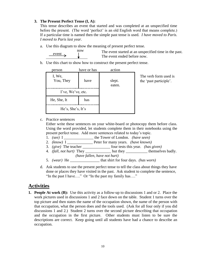#### **3. The Present Perfect Tense (I, A):**

 $\frac{event}{}$  now

This tense describes an event that started and was completed at an unspecified time before the present. (The word 'perfect' is an old English word that means complete.) If a particular time is named then the simple past tense is used. *I have moved to Paris. I moved to Paris last year.*

a. Use this diagram to show the meaning of present perfect tense.

The event started at an unspecified time in the past. The event ended before now.

b. Use this chart to show how to construct the present perfect tense.

| person              | have or has | action           |
|---------------------|-------------|------------------|
| I, We,<br>You, They | have        | slept.<br>eaten. |
| I've, We've, etc.   |             |                  |
| He, She, It         | has         |                  |
| He's, She's, It's   |             |                  |

The verb form used is the 'past participle'.

c. Practice sentences

Either write these sentences on your white-board or photocopy them before class. Using the word provided, let students complete them in their notebooks using the present perfect tense. Add more sentences related to today's topic.

- 1. *(see)* I \_\_\_\_\_\_\_\_\_\_\_\_\_\_\_ the Tower of London. *(have seen)*
- 2. *(know)* I \_\_\_\_\_\_\_\_\_\_\_\_\_ Peter for many years. *(have known)*
- 3. *(give)* The teacher \_\_\_\_\_\_\_\_\_\_\_\_\_\_ four tests this year. *(has given)*
- 4. *(fall, not hurt)* They \_\_\_\_\_\_\_\_\_\_\_\_\_ but they \_\_\_\_\_\_\_\_\_\_\_ themselves badly. *(have fallen, have not hurt)*
- 5. *(wear)* He \_\_\_\_\_\_\_\_\_\_\_\_\_\_\_ that shirt for four days. *(has worn)*
- d. Ask students to use the present perfect tense to tell the class about things they have done or places they have visited in the past. Ask student to complete the sentence, "In the past I have…." Or "In the past my family has…."

## **Activities**

**1. People At work (B):** Use this activity as a follow-up to discussions 1 and or 2. Place the work pictures used in discussions 1 and 2 face down on the table. Student 1 turns over the top picture and then states the name of the occupation shown, the name of the person with that occupation, what the person does and the tools used. (Ask for all four only if you did discussions 1 and 2.) Student 2 turns over the second picture describing that occupation and the occupation in the first picture. Other students must listen to be sure the descriptions are correct. Keep going until all students have had a chance to describe an occupation.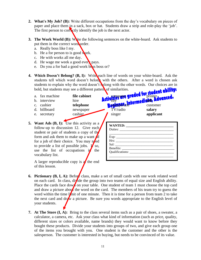- **2. What's My Job? (B):** Write different occupations from the day's vocabulary on pieces of paper and place them in a sack, box or hat. Students draw a strip and role-play the 'job'. The first person to correctly identify the job is the next actor.
- **3. The Work World (B):** Write the following sentences on the white-board. Ask students to put them in the correct word order.
	- a. Really boss like I my.
	- b. He a for person to is good work.
	- c. He with works all me day.
	- d. He wage me week a good every pays.
	- e. Do you a for bad a good work boss boss or?
- **4.** Which Doesn't Belong? (B, I): Write each line of words on your white-board. Ask the students tell which word doesn't belong with the others. After a word is chosen ask students to explain why the word doesn't belong with the other words. Our choices are in bold, but students may see a different pattern of similarities.
	- a. fax machine **file cabinet** computer **computer of CLCCC** printer
	- -
	-
	-
- **5. Want Ads (B, I):** Use this activity as a follow-up to discussion 12. Give each student or pair of students a copy of the form and ask them to make up a want  $\mathbf{d}$ for a job of their choice. You may need to provide a list of possible jobs.  $\mathbf{I}$  so, use the list of occupations  $\mathbf{u}$  the vocabulary list.

A larger reproducible copy is  $\alpha$  the end of this lesson.

b. interview hire **RUPART LAND REALLY** c. cashier **telephone** sales telephone **state of the customer customer** customer d. billboard newspaper TV/radio **salary** e. secretary cashier singer **applicant** 

- **6. Pictionary (B, I, A):** Before class, make a set of small cards with one work related word on each card. In class, divide the group into two teams of equal size and English ability. Place the cards face down on your table. One student of team 1 must choose the top card and draw a picture about the word on the card. The members of his team try to guess the word within the time limit of one minute. Then it is time for a person from team 2 to take the next card and draw a picture. Be sure you words appropriate to the English level of your students.
- **7. At The Store (I, A):** Bring to the class several items such as a pair of shoes, a sweater, a calculator, a camera, etc. Ask your class what kind of information (such as price, quality, different sizes or colors available, name brands) they would want to know before they bought these products. Divide your students into groups of two, and give each group one of the items you brought with you. One student is the customer and the other is the salesperson. The customer is interested in buying, but needs to be convinced of its value.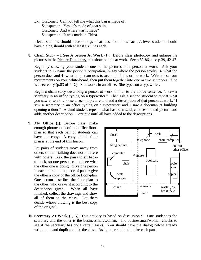Ex: Customer: Can you tell me what this bag is made of? Salesperson: Yes, it's made of goat skin. Customer: And where was it made? Salesperson: It was made in China.

*I-*level students should have dialogs of at least four lines each; *A-*level students should have dialog should with at least six lines each.

**8. Chain Story – I See A person At Work (I):** Before class photocopy and enlarge the pictures in the Picture Dictionary that show people at work.See p.82-86, also p.39, 42-47.

Begin by showing your students one of the pictures of a person at work. Ask your students to 1- name the person's occupation, 2- say where the person works, 3- what the person does and 4- what the person uses to accomplish his or her work. Write these four requirements on your white-board, then put them together into one or two sentences: "She is a secretary (p.83 of P.D.). She works in an office. She types on a typewriter.

Begin a chain story describing a person at work similar to the above sentence: "I saw a secretary in an office typing on a typewriter." Then ask a second student to repeat what you saw at work, choose a second picture and add a description of that person at work: "I saw a secretary in an office typing on a typewriter, and I saw a doorman at building opening a door." A third student repeats what has been said, chooses a third picture and adds another description. Continue until all have added to the descriptions.

**9. My Office (I):** Before class, make enough photocopies of this office floorplan so that each pair of students can have one copy**.** A copy of this floor plan is at the end of this lesson.

Let pairs of students move away from others so their talking does not interfere with others. Ask the pairs to sit backto-back, so one person cannot see what the other one is doing. Give one person in each pair a blank piece of paper; give the other a copy of the office floor-plan. One person describes the floor-plan to the other, who draws it according to the description given. When all have finished, collect the drawings and show all of them to the class. Let them decide whose drawing is the best copy of the original.



**10. Secretary At Work (I, A):** This activity is based on discussion 9. One student is the secretary and the other is the businessman/woman. The businessman/woman checks to see if the secretary has done certain tasks. You should have the dialog below already written out and duplicated for the class. Assign one student to take each part.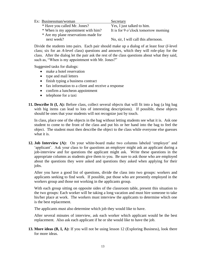| Ex: Businessman/woman                | Secretary                            |
|--------------------------------------|--------------------------------------|
| * Have you called Mr. Jones?         | Yes, I just talked to him.           |
| * When is my appointment with him?   | It is for 9 o'clock tomorrow morning |
| * Are my plane reservations made for |                                      |
| next week?                           | No, sir, I will call this afternoon. |

Divide the students into pairs. Each pair should make up a dialog of at least four (*I*-level class; six for an *A-*level class) questions and answers, which they will role-play for the class. After the dialog let the pair ask the rest of the class questions about what they said, such as, "When is my appointment with Mr. Jones?"

Suggested tasks for dialogs:

- make a hotel reservation
- type and mail letters
- finish typing a business contract
- fax information to a client and receive a response
- confirm a luncheon appointment
- telephone for a taxi
- **11. Describe It (I, A):** Before class, collect several objects that will fit into a bag (a big bag with big items can lead to lots of interesting descriptions). If possible, these objects should be ones that your students will not recognize just by touch.

In class, place one of the objects in the bag without letting students see what it is. Ask one student to come to the front of the class and put his or her hand into the bag to feel the object. The student must then describe the object to the class while everyone else guesses what it is.

**12. Job Interview (A):** On your white-board make two columns labeled 'employer' and 'applicant'. Ask your class to for questions an employer might ask an applicant during a job-interview and for questions the applicant might ask. Write these questions in the appropriate columns as students give them to you. Be sure to ask those who are employed about the questions they were asked and questions they asked when applying for their jobs.

After you have a good list of questions, divide the class into two groups: workers and applicants seeking to find work. If possible, put those who are presently employed in the workers group and those not working in the applicants group.

With each group sitting on opposite sides of the classroom table, present this situation to the two groups: Each worker will be taking a long vacation and must hire someone to take his/her place at work. The workers must interview the applicants to determine which one is the best replacement.

The applicants must also determine which job they would like to have.

After several minutes of interview, ask each worker which applicant would be the best replacement. Also ask each applicant if he or she would like to have the job.

**13. More ideas (B, I, A):** If you will not be using lesson 12 (Exploring Business), look there for more ideas.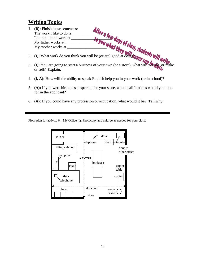# **Writing Topics**

- 1. **(B):** Finish these sentences: The work I like to do is \_\_\_\_\_\_\_\_\_\_\_\_\_\_\_\_\_\_\_\_. I do not like to work at  $\frac{1}{2}$ My father works at  $\frac{1}{2}$ My mother works at  $\frac{1}{2}$ 2. **(I):** What work do you think you will be (or are) good at doing? 3. **(I):** You are going to start a business of your own (or a store), what will you do, or make or sell? Explain.
- 4. **(I, A):** How will the ability to speak English help you in your work (or in school)?
- 5. **(A):** If you were hiring a salesperson for your store, what qualifications would you look for in the applicant?
- 6. **(A):** If you could have any profession or occupation, what would it be? Tell why.

Floor plan for activity 6 – My Office (I): Photocopy and enlarge as needed for your class.

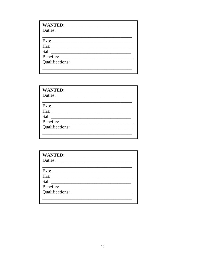| Duties: |
|---------|
|         |
|         |
|         |
|         |
|         |
|         |
|         |
|         |

| Qualifications: |  |
|-----------------|--|
|                 |  |

| Qualifications: |
|-----------------|
|                 |